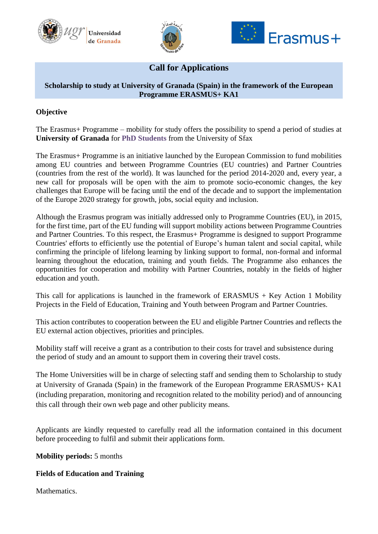





# **Call for Applications**

## **Scholarship to study at University of Granada (Spain) in the framework of the European Programme ERASMUS+ KA1**

# **Objective**

The Erasmus+ Programme – mobility for study offers the possibility to spend a period of studies at **University of Granada** for **PhD Students** from the University of Sfax

The Erasmus+ Programme is an initiative launched by the European Commission to fund mobilities among EU countries and between Programme Countries (EU countries) and Partner Countries (countries from the rest of the world). It was launched for the period 2014-2020 and, every year, a new call for proposals will be open with the aim to promote socio-economic changes, the key challenges that Europe will be facing until the end of the decade and to support the implementation of the Europe 2020 strategy for growth, jobs, social equity and inclusion.

Although the Erasmus program was initially addressed only to Programme Countries (EU), in 2015, for the first time, part of the EU funding will support mobility actions between Programme Countries and Partner Countries. To this respect, the Erasmus+ Programme is designed to support Programme Countries' efforts to efficiently use the potential of Europe's human talent and social capital, while confirming the principle of lifelong learning by linking support to formal, non-formal and informal learning throughout the education, training and youth fields. The Programme also enhances the opportunities for cooperation and mobility with Partner Countries, notably in the fields of higher education and youth.

This call for applications is launched in the framework of  $ERASMUS + Key$  Action 1 Mobility Projects in the Field of Education, Training and Youth between Program and Partner Countries.

This action contributes to cooperation between the EU and eligible Partner Countries and reflects the EU external action objectives, priorities and principles.

Mobility staff will receive a grant as a contribution to their costs for travel and subsistence during the period of study and an amount to support them in covering their travel costs.

The Home Universities will be in charge of selecting staff and sending them to Scholarship to study at University of Granada (Spain) in the framework of the European Programme ERASMUS+ KA1 (including preparation, monitoring and recognition related to the mobility period) and of announcing this call through their own web page and other publicity means.

Applicants are kindly requested to carefully read all the information contained in this document before proceeding to fulfil and submit their applications form.

**Mobility periods:** 5 months

# **Fields of Education and Training**

**Mathematics**